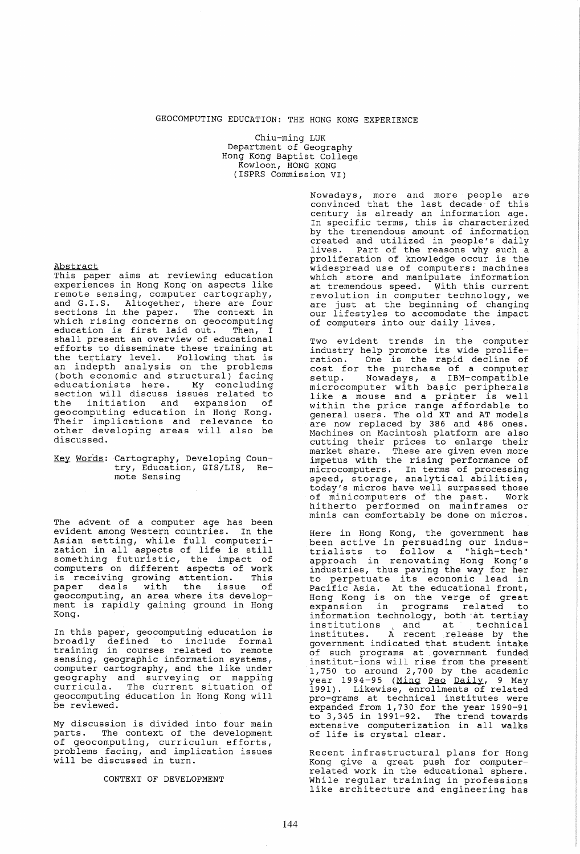# GEOCOMPUTING EDUCATION: THE HONG KONG EXPERIENCE

Chiu-ming LUK Department of Geography Hong Kong Baptist College Kowloon, HONG KONG (ISPRS Commission VI)

Abstract

This paper aims at reviewing education experiences in Hong Kong on aspects like remote sensing, computer cartography, and G.I.S. Altogether, there are four sections in the paper. The context in which rising concerns on geocomputing which fising concerns on geocompacing<br>education is first laid out. Then, I shall present an overview of educational efforts to disseminate these training at<br>the tertiary level. Following that is an indepth analysis on the problems (both economic and structural) facing educationists here. My concluding section will discuss issues related to section with disease issues follows to geocomputing education in Hong Kong. Their implications and relevance to other developing areas will also be discussed.

Key Words: Cartography, Developing Coun-try, Education, GIS/LIS, Remote Sensing

The advent of a computer age has been evident among Western countries. In the Asian setting, while full computerization in all aspects of life is still something futuristic, the impact of computers on different aspects of work is receiving growing attention. This paper deals with the issue of geocomputing, an area where its development is rapidly gaining ground in Hong Kong.

In this paper, geocomputing education is In this paper, gestempating education is<br>broadly defined to include formal training in courses related to remote sensing, geographic information systems, computer cartography, and the like under geography and surveying or mappihg goography and sarveying or mapping<br>curricula. The current situation of geocomputing education in Hong Kong will be reviewed.

My discussion is divided into four main parts. The context of the development of geocomputing, curriculum efforts, problems facing, and implication issues will be discussed in turn.

CONTEXT OF DEVELOPMENT

Nowadays, more and more people are convinced that the last decade of this century is already an information age. In specific terms, this is characterized by the tremendous amount of information created and utilized in people's daily lives. Part of the reasons why such a proliferation of knowledge occur is the widespread use of computers: machines which store and manipulate information at tremendous speed. With this current<br>revolution in computer technology, we are just at the beginning of changing<br>our lifestyles to accomodate the impact of computers into our daily lives.

Two evident trends in the computer industry help promote its wide proliferation. One is the rapid decline of cost for the purchase of a computer setup. Nowadays, a IBM-compatible microcomputer with basic peripherals like a mouse and a printer is well within the price range affordable to<br>general users. The old XT and AT models general users. The old XT and AT models are now replaced by 386 and 486 ones. Machines on Macintosh platform are also cutting their prices to enlarge their market share. These are given even more impetus with the rising performance of microcomputers. In terms of processing speed, storage, analytical abilities, today's micros have well surpassed those<br>of minicomputers of the past. Work of minicomputers of the past. hitherto performed on mainframes or minis can comfortably be done on micros.

Here in Hong Kong, the government has been active in persuading our indus-trialists to follow a "high-tech" approach in renovating Hong Kong's industries, thus paving the way for her to perpetuate its economic lead in Pacific Asia. At the educational front, Facilic Asia. At the educational front, expansion in programs related to information technology, both at tertiay institutions and at technical institutes. A recent release by the institutes. A recent release by the<br>government indicated that student intake of such programs at. government funded institut-ions will rise from the present 1, 750 to around 2, 700 by the academic year 1994-95 (Ming Pao Daily, 9 May 1991). Likewise, enrollments of related pro-grams at technical institutes were expanded from 1,730 for the year 1990-91 expanded from 1,730 for the year 1990-91<br>to 3,345 in 1991-92. The trend towards extensive computerization in all walks of life is crystal clear.

Recent infrastructural plans for Hong Kong give a great push for computerrelated work in the educational sphere. While regular training in professions like architecture and engineering has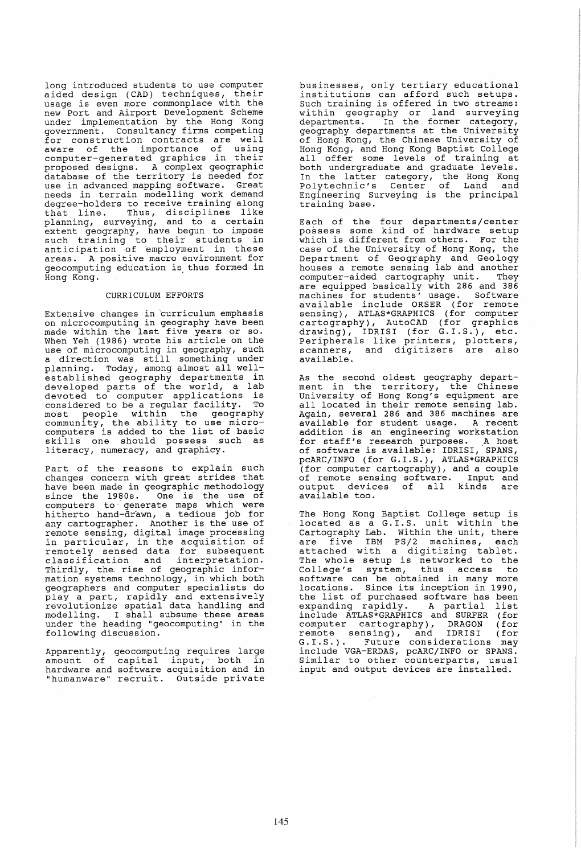long introduced students to use computer aided design (CAD) techniques, their usage is even more commonplace with the new Port and Airport Development Scheme under implementation by the Hong Kong government. Consultancy firms competing for construction contracts are well<br>for construction contracts are well<br>aware of the importance of using computer-generated graphics in their proposed designs. A complex geographic database of the territory is needed for use in advanced mapping software. Great needs in terrain modelling work demand degree-holders to receive training along degree holders to receive cruining drong<br>that line. Thus, disciplines like planning, surveying, and to a certain extent geography, have begun to impose<br>such training to their students in anticipation -of 'employment in these areas. A positive macro environment for areas. A positive macro environment for<br>geocomputing education is thus formed in Hong Kong.

#### CURRICULUM EFFORTS

Extensive changes in 'curriculum emphasis on micro computing in geography have been made within the last five years or so. When Yeh (1986) wrote his article on the use of microcomputing in geography, such a direction was still something under a direction was still something under<br>planning. Today, among almost all wellestablished geography departments in developed parts of the world, a lab devoted to computer applications is<br>considered to be a requier facility. To considered to be a regular facility.<br>most people within the geogra m6st people within the geography community, the ability to use microcomputers is added to the list of basic skills one should possess such as literacy, numeracy, and graphicy.

Part of the reasons to explain such changes concern with great strides that have been made in geographic methodology since the 1980s. One is the use of computers to" generate maps which were hi therto hand-drawn, a tedious job for any cartographer. Another is the use of remote sensing, digital image processing in particular, in the acquisition of remotely sensed data for subsequent classification and interpretation. Thirdly, the. rise of geographic information systems technology, in which both geographers and computer specialists do geographers and computer specialises as<br>play a part, rapidly and extensively revolutionize spatial data handling and modelling. I shall subsume these areas under the heading "geocomputing" in the following discussion.

Apparently, geocomputing requires large amount of capital input, both in hardware and software acquisition and in "humanware" recruit. Outside private

businesses, only tertiary educational businesses, only cereiary cancacronal Such training is offered in two streams: within geography or land surveying departments. In the former category, geography departments at the University of Hong Kong, the Chinese University of Hong Kong, and Hong Kong Baptist College all offer some levels of training at both undergraduate and graduate levels. In the latter category, the Hong Kong polytechnic's Center of Land and Engineering Surveying is the principal training base.

Each of the four departments/center possess some kind of hardware setup which is different from others. For the case of the University of Hong Kong, the Department of Geography and Geology houses a remote sensing lab and another computer-aided cartography unit. They are equipped basically with 286 and 386 machines for students' usage. Software available include ORSER (for remote sensing), ATLAS\*GRAPHICS (for computer cartography), AutoCAD (for graphics drawing), IDRISI (for G.I.S.), etc. Peripherals like printers, plotters, scanners, and digitizers are also available.

As the second oldest geography depart-ment in the territory, the Chinese University of Hong Kong's equipment are all located in their remote sensing lab. Again, several 286 and 386 machines are available for student usage. A recent addition is an engineering workstation addition is an engineering workstation<br>for staff's research purposes. A host of software is available: IDRISI, SPANS, pcARC/INFO (for G.I.S.), ATLAS\*GRAPHICS (for computer cartography), and a couple of remote sensing software. Input and output devices of all kinds are<br>available\_too.

The Hong Kong Baptist College setup is inco hong hong bapable corrego boddp is Cartography Lab. within the unit, there are five IBM PS/2 machines, each attached with a digitizing tablet. The whole setup is networked to the College's system, thus access to software can be obtained in many more locations. Since its incept'ion in 1990, the list of purchased software has been the list of purchased soltware has been<br>expanding rapidly. A partial list include ATLAS\*GRAPHICS and SURFER (for computer cartography), DRAGON (for remote sensing), and IDRISI (for emote schaing,, and ibkisi (101)<br>G.I.S.). Future considerations may include VGA-ERDAS, pcARC/INFO or SPANS. Similar to other counterparts, usual input and output devices are installed.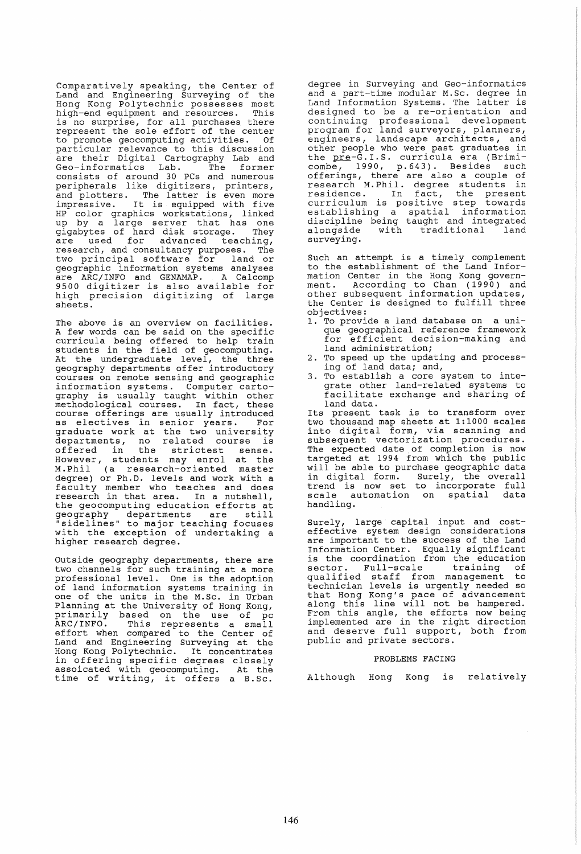Comparatively speaking, the Center of Land and Engineering Surveying of the Hong Kong Polytechnic possesses most high-end equipment and resources. is no surprise, for all purchases there represent the sole effort of the center to promote geocomputing activities. particular relevance to this discussion are their Digital Cartography Lab and Geo-informatics Lab. The former consists of around 30 PCs and numerous peripherals like digitizers, printers, beripherals like digitizers, printers,<br>and plotters. The latter is even more<br>impressive. It is equipped with five HP color graphics workstations, linked<br>up by a large server that has one<br>gigabytes of hard disk storage. They<br>are used for advanced teaching, research, and consultancy purposes. The two principal software for land or geographic information systems analyses are ARC/INFO and GENAMAP. A Calcomp 9500 digitizer is also available for high precision digitizing of large sheets.

The above is an overview on facilities. A few words can be said on the specific curricula being offered to help train students in the field of geocomputing. At the undergraduate level, the three geography departments offer introductory courses on remote sensing and geographic courses on remote sensing and geographic<br>information systems. Computer cartography is usually taught within other<br>methodological courses. In fact, these methodological courses. In fact, these course offerings are usually introduced as electives in senior years. For as crectives in senior years. For<br>graduate work at the two university departments, no related course is offered in the strictest sense.<br>However, students may enrol at the M.Phil (a research-oriented master degree) or Ph.D. levels and work with a faculty member who teaches and does research in that area. In a nutshell, the geocomputing education efforts at the geocomputing equeation efforts at<br>geography departments are still "sidelines" to major teaching focuses with the exception of undertaking a<br>higher research degree.

Outside geography departments, there are two channels for such training at a more professional level. One is the adoption of land information systems training in one of the units in the M.Sc. in Urban Planning at the University of Hong Kong, primarily based on the use of pc ARC/INFO. This represents a small effort when compared to the Center of Land and Engineering Surveying at the Hong Kong Polytechnic. It concentrates in offering specific degrees closely assoicated with geocomputing. At the time of writing, it offers a B.Sc.

degree in Surveying and Geo-informatics and a part-time modular M.Sc. degree in Land Information Systems. The latter is designed to be a re-orientation and continuing professional development program for land surveyors, planners, engineers, landscape architects, and other people who were past graduates in the pre-G.I.S. curricula era (Brimicombe, 1990, p.643). Besides such offerings, there are also a couple of research M. Phil. degree students in residence. In fact, the present curriculum is positive step towards establishing a spatial information discipline being taught and integrated alongside with traditional land alongside<br>surveying.

Such an attempt is a timely complement to the establishment of the Land Information Center in the Hong Kong governmation conter in the neng hong govern other subsequent information updates, the Center is designed to fulfill three objectives:

- 1. To provide a land database on a unique geographical reference framework for efficient decision-making and land administration;
- 2. To speed up the updating and processing of land data; and,
- 3. To establish a core system to integrate other land-related systems to facilitate exchange and sharing of land data.<br>Its present task is to transform over

two thousand map sheets at 1:1000 scales into digital form, via scanning and subsequent vectorization procedures. The expected date. of completion is now targeted at 1994 from which the public will be able to purchase geographic data with he abit to partness googlephic data<br>in digital form. Surely, the overall trend is now set to incorporate full scale automation on spatial data handling.

Surely, large capital input and cost-<br>effective system design considerations are important to the success of the Land Information Center. Equally significant is the coordination from the education sector. Full-scale training of sector. Full-scale training of<br>qualified staff from management to<br>technician levels is urgently needed so technician levels is urgently needed so that Hong Kong's pace of advancement along this line will not be hampered. along this line with not be hampered:<br>From this angle, the efforts now being implemented are in the right direction and deserve full support, both from public and private sectors.

# PROBLEMS FACING

Although Hong Kong is relatively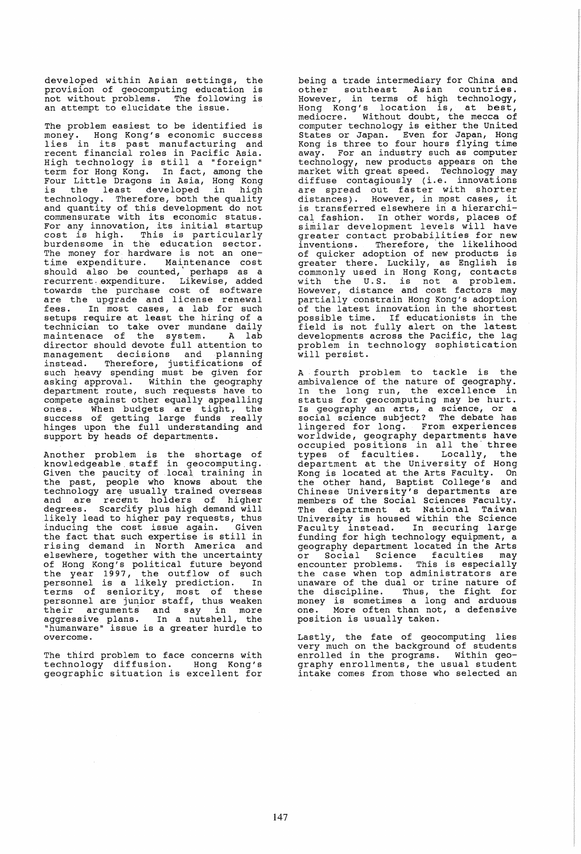developed within Asian settings, the provision of geocomputing education is not without problems. The following is<br>an attempt to elucidate the issue.

The problem easiest to be identified is money. Hong Kong's economic success<br>lies in its past manufacturing and recent financial roles in Pacific Asia. recent financial roles in Pacific Asia.<br>High technology is still a "foreign" term for Hong Kong. In fact, among the Four Little Dragons in Asia, Hong Kong Four fittie bragons in Asia, hong Rong<br>is the least developed in high technology. Therefore, both the quality and quantity of this development do not commensurate with its economic status. For any innovation, its initial startup cost is high. This is particularly burdensome in the education sector. The money for hardware is not an one- time expenditure. Maintenance cost should also be counted, perhaps as a recurrent expenditure. Likewise, added towards the purchase cost of software are the upgrade and license renewal fees. In most cases, a lab for such setups require at least the hiring of a technician to take over mundane daily technician to take over mundane daily<br>maintenace of the system. A lab director should devote full attention to management decisions and planning instead. Therefore, justifications of such heavy spending must be given for asking approval. Within the geography department route, such requests have to compete against other equally appealling<br>ones. When budgets are tight, the success of getting large funds really baccess of goeding rarge rands rearry support by heads of departments.

Another problem is the shortage of knowledgeable. staff in geocomputing. Given the paucity of local training in the past, people who knows about the technology are, usually trained overseas and are recent holders of higher degrees. Scarcity plus high demand will likely lead to higher pay requests, thus inducing the cost issue again. Given the fact that such expertise is still in rising demand in North America and elsewhere, together with the uncertainty of Hong Kong's political future beyond the year 1997, the outflow of such personnel is a likely prediction. In terms of seniority, most of these personnel are junior staff, thus weaken personner are junior scarr, chas weaken<br>their arguments and say in more<br>aggressive plans. In a nutshell, the discribed profits. The indicated process that the "humanware" issue is a greater hurdle to

The third problem to face concerns with technology di£fusion. Hong Kong's geographic situation is excellent for

being a trade intermediary for China and being a craae incormodiary for onina and<br>other southeast Asian countries. However, in terms of high technology, Hong Kong's location is, at best, mediocre. Without doubt, the mecca of computer technology is either the united States or Japan. Even for Japan, Hong Kong is three to four hours flying time away. For an industry such as computer technology, new products appears on the market with great speed. Technology may diffuse contagiously (i.e. innovations are spread out faster with shorter<br>distances). However, in most cases, it is transferred elsewhere in a hierarchical fashion. In other words, places of similar development levels will have greater contact probabilities for new inventions. Therefore, the likelihood of quicker adoption of new products is of quicker duoption of new produces is<br>greater there. Luckily, as English is commonly used in Hong Kong, contacts commonly used in hong Rong, concucts<br>with the U.S. is not a problem. However, distance and cost factors may partially constrain Hong Kong's adoption of the latest innovation in the shortest possible time. If educationists in the field is not fully alert on the latest developments across the Pacific, the lag problem in technology sophistication will persist.

fourth problem to tackle is the ambivalence of the nature of geography. In the long run, the excellence in status for geocomputing may be hurt. Is geography an arts, a science, or a social science subject? The debate has lingered for long. From experiences worldwide, geography departments have occupied positions in all the' three types of faculties. Locally, the department at the University of Hong Kong is located at the Arts Faculty. On the other hand, Baptist College's and Chinese University's departments are members of the Social Sciences Faculty. The department at National Taiwan University is housed within the Science entrology is housed wromin the service funding for high technology equipment, a geography department located in the Arts or Social Science faculties may encounter problems. This is especially the case when top administrators are unaware of the dual or trine nature of the discipline. Thus, the fight for money is sometimes a long and arduous one. More often than not, a defensive position is usually taken.

Lastly, the fate of geocomputing lies very much on the background of students enrolled in the programs. Within geography enrollments, the usual student intake comes from those who selected an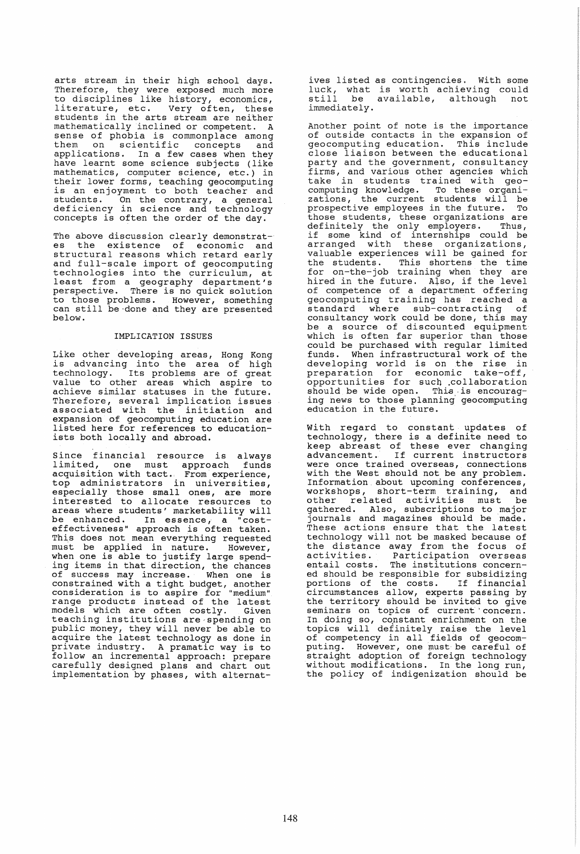arts stream in their high school days. Therefore, they were exposed much more to disciplines like history, economics, difference into instally, economies, students in the arts stream are neither mathematically inclined or competent. A sense of phobia is commonplace among them on scientific concepts and applications. In a few cases when they have learnt some science subjects (like mathematics, computer science, etc.) in their lower forms, teaching geocomputing ender forms, teaching geocompacing<br>is an enjoyment to both teacher and students. On the contrary, a general deficiency in science and technology concepts is often the order of the day.

The above discussion clearly demonstrat-<br>es the existence of economic and structural reasons which retard early and full-scale import of geocomputing technologies into the curriculum, at<br>least from a geography department's decommologics finds one curriculum, at<br>least from a geography department's<br>perspective. There is no quick solution to those problems. However, something<br>can still be done and they are presented can still be done and they are presented<br>below.

# IMPLICATION ISSUES

Like other developing areas, Hong Kong is advancing into the area of high technology. Its problems are of great value to other areas which aspire to achieve similar statuses in the future. Therefore, several implication issues associated with the initiation and expansion of geocomputing education are listed here for references to educationists both locally and abroad.

Since financial resource is always dimited, one must approach funds acquisition with tact. From experience, top administrators in universities, especially those small ones, are more<br>interested to allocate resources to<br>areas where students' marketability will be enhanced. In essence, a "costbe enhanced. In essence, a "cost-<br>effectiveness" approach is often taken. This does not mean everything requested<br>must be applied in nature. However, must be applied in nature. when one is able to justify large spending items in that direction, the chances of success may increase. When one is constrained with a tight budget, another constitution with a tight badget, another<br>consideration is to aspire for "medium" range products instead of the latest models which are often costly. Given<br>teaching institutions are spending on<br>public money, they will never be able to acquire the latest technology as done in private industry. A pramatic way is to follow an incremental approach: prepare carefully designed plans and chart out implementation by phases, with alternatives listed as contingencies. With some<br>luck, what is worth achieving could<br>still be available, although not be available, although not immediately.

Another point of note is the importance of outside contacts in the expansion of geocomputing education. This include close liaison between the educational party and the government, consultancy firms, and various other agencies which take in students trained with geocomputing knowledge. To these organizations, the current students will be zations, the current students will be<br>prospective employees in the future. To those students, these organizations are definitely the only employers. Thus, if some kind of internships could be arranged with these organizations, valuable experiences will be gained for the students. This shortens the time for on-the-job training when they are hired in the future. Also, if the level of competence of a department offering geocomputing training has reached a standard where sub-contracting of standard where sub-contracting of<br>consultancy work could be done, this may be a source of discounted equipment which is often far superior than those could be purchased with regular limited funds. When infrastructural work of the developing world is on the rise in preparation for economic take-off, preparation for economic cake off,<br>opportunities for such collaboration should be wide open. This is encouraging news to tnose planning' geocomputing education in the future.

With regard to constant updates of technology, there is a definite need to keep abreast of these ever changing advancement. If current instructors were once trained overseas, connections with the West should not be any problem. Information about upcoming conferences, workshops, short-term training, and workshops, short cerm cruining, and<br>other related activities must be gathered. Also, subscriptions to major journals and magazines should be made . These actions ensure that the latest technology will not be masked because of the distance away from the focus of<br>activities. Participation overseas activities. Participation overseas<br>entail costs. The institutions concern-<br>ed should be responsible for subsidizing<br>portions of the costs. If financial portions of the costs. circumstances allow, experts passing by the territory should be invited to give seminars on topics of current concern. In doing so, constant enrichment on the<br>topics will definitely raise the level of competency in all fields of geocomputing. However, one must be careful of straight adoption of foreign technology without modifications. In the long run, the policy of indigenization should be